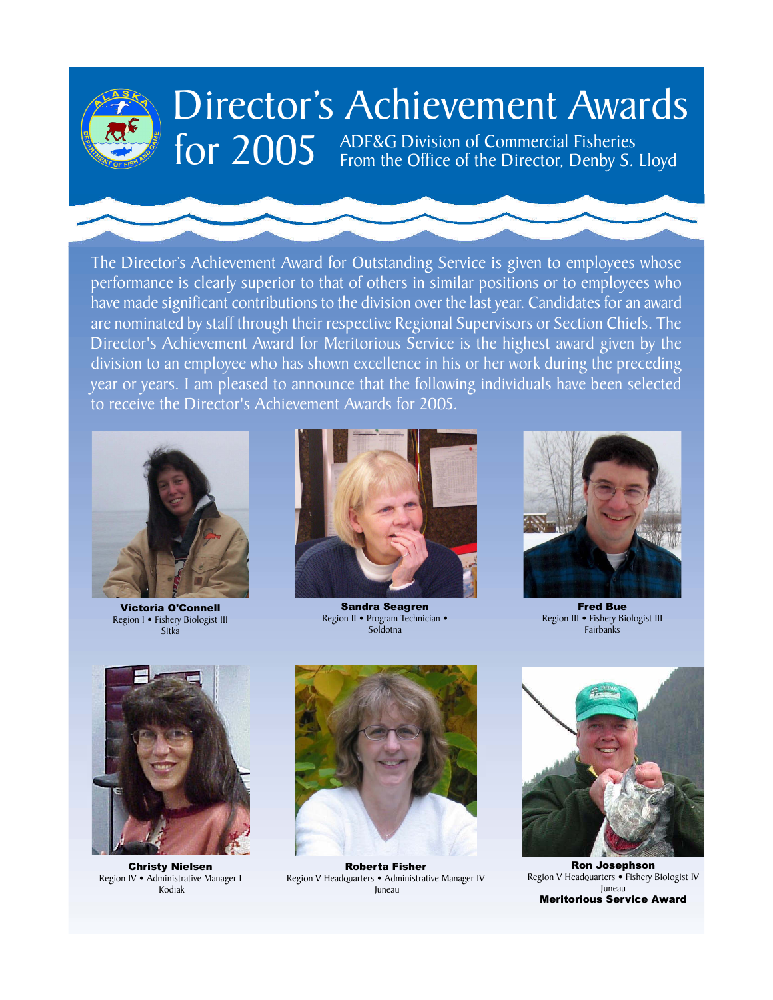

# Director's Achievement Awards

for 2005 ADF&G Division of Commercial Fisheries<br>From the Office of the Director, Denby S. Lloyd

have made significant contributions to the division over the last year. Candidates for an award The Director's Achievement Award for Outstanding Service is given to employees whose performance is clearly superior to that of others in similar positions or to employees who are nominated by staff through their respective Regional Supervisors or Section Chiefs. The Director's Achievement Award for Meritorious Service is the highest award given by the division to an employee who has shown excellence in his or her work during the preceding **2006 Projector Seart Award: Victoria III - Seart Projector** Biological Biologist III - *Seart Dieachstan Dieachstan Dieachstan Dieachstan Dieachstan Dieachstan Biologist* **II** to receive the Director's Achievement Awards for 2005.



Victoria O'Connell Region I • Fishery Biologist III Sitka



Sandra Seagren Region II • Program Technician • Soldotna



Fred Bue Region III • Fishery Biologist III Fairbanks



Christy Nielsen Region IV • Administrative Manager I Kodiak



Roberta Fisher Region V Headquarters • Administrative Manager IV Juneau



Ron Josephson Region V Headquarters • Fishery Biologist IV Juneau Meritorious Service Award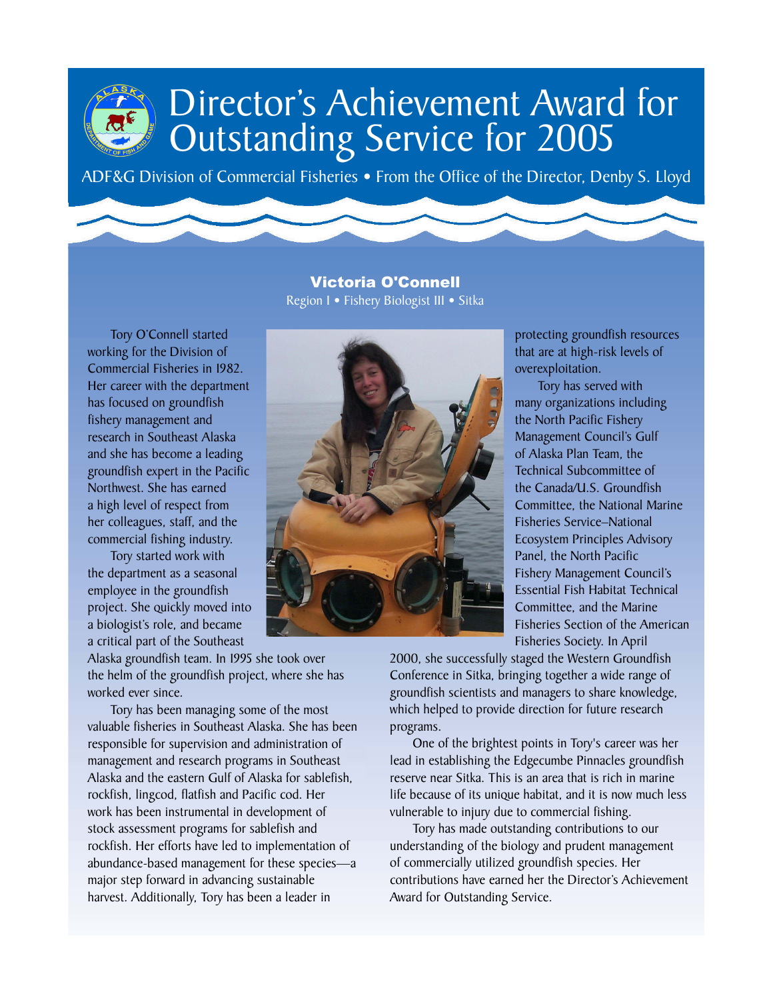ADF&G Division of Commercial Fisheries • From the Office of the Director, Denby S. Lloyd

Victoria O'Connell **2005 Director's Award: Victoria O'Connell: Fishery Biologist III - Groundfish Project Leader, Region I** Region I • Fishery Biologist III • Sitka

Tory O'Connell started working for the Division of Commercial Fisheries in 1982. Her career with the department has focused on groundfish fishery management and research in Southeast Alaska and she has become a leading groundfish expert in the Pacific Northwest. She has earned a high level of respect from her colleagues, staff, and the commercial fishing industry.

Tory started work with the department as a seasonal employee in the groundfish project. She quickly moved into a biologist's role, and became a critical part of the Southeast

Alaska groundfish team. In 1995 she took over the helm of the groundfish project, where she has worked ever since.

Tory has been managing some of the most valuable fisheries in Southeast Alaska. She has been responsible for supervision and administration of management and research programs in Southeast Alaska and the eastern Gulf of Alaska for sablefish, rockfish, lingcod, flatfish and Pacific cod. Her work has been instrumental in development of stock assessment programs for sablefish and rockfish. Her efforts have led to implementation of abundance-based management for these species—a major step forward in advancing sustainable harvest. Additionally, Tory has been a leader in



protecting groundfish resources that are at high-risk levels of overexploitation.

Tory has served with many organizations including the North Pacific Fishery Management Council's Gulf of Alaska Plan Team, the Technical Subcommittee of the Canada/U.S. Groundfish Committee, the National Marine Fisheries Service–National Ecosystem Principles Advisory Panel, the North Pacific Fishery Management Council's Essential Fish Habitat Technical Committee, and the Marine Fisheries Section of the American Fisheries Society. In April

2000, she successfully staged the Western Groundfish Conference in Sitka, bringing together a wide range of groundfish scientists and managers to share knowledge, which helped to provide direction for future research programs.

One of the brightest points in Tory's career was her lead in establishing the Edgecumbe Pinnacles groundfish reserve near Sitka. This is an area that is rich in marine life because of its unique habitat, and it is now much less vulnerable to injury due to commercial fishing.

Tory has made outstanding contributions to our understanding of the biology and prudent management of commercially utilized groundfish species. Her contributions have earned her the Director's Achievement Award for Outstanding Service.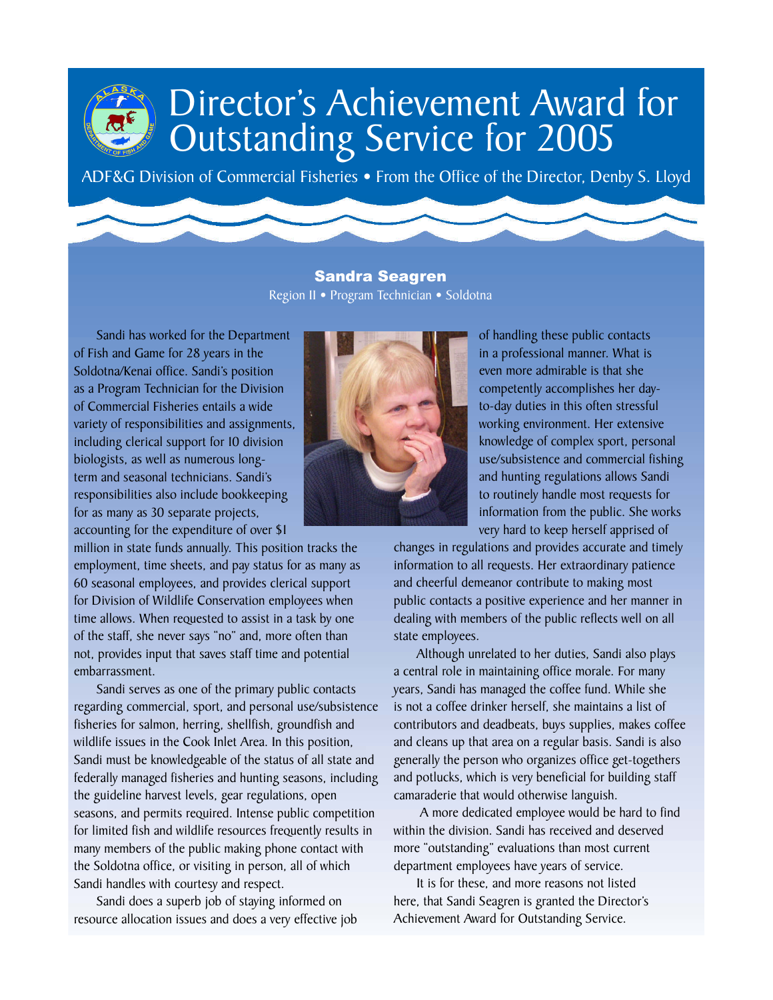ADF&G Division of Commercial Fisheries . From the Office of the Director, Denby S. Lloyd

Sandra Seagren Region II • Program Technician • Soldotna

Sandi has worked for the Department of Fish and Game for 28 years in the Soldotna/Kenai office. Sandi's position as a Program Technician for the Division of Commercial Fisheries entails a wide variety of responsibilities and assignments, including clerical support for 10 division biologists, as well as numerous longterm and seasonal technicians. Sandi's responsibilities also include bookkeeping for as many as 30 separate projects, accounting for the expenditure of over \$1

million in state funds annually. This position tracks the employment, time sheets, and pay status for as many as 60 seasonal employees, and provides clerical support for Division of Wildlife Conservation employees when time allows. When requested to assist in a task by one of the staff, she never says "no" and, more often than not, provides input that saves staff time and potential embarrassment.

Sandi serves as one of the primary public contacts regarding commercial, sport, and personal use/subsistence fisheries for salmon, herring, shellfish, groundfish and wildlife issues in the Cook Inlet Area. In this position, Sandi must be knowledgeable of the status of all state and federally managed fisheries and hunting seasons, including the guideline harvest levels, gear regulations, open seasons, and permits required. Intense public competition for limited fish and wildlife resources frequently results in many members of the public making phone contact with the Soldotna office, or visiting in person, all of which Sandi handles with courtesy and respect.

Sandi does a superb job of staying informed on resource allocation issues and does a very effective job



of handling these public contacts in a professional manner. What is even more admirable is that she competently accomplishes her dayto-day duties in this often stressful working environment. Her extensive knowledge of complex sport, personal use/subsistence and commercial fishing and hunting regulations allows Sandi to routinely handle most requests for information from the public. She works very hard to keep herself apprised of

changes in regulations and provides accurate and timely information to all requests. Her extraordinary patience and cheerful demeanor contribute to making most public contacts a positive experience and her manner in dealing with members of the public reflects well on all state employees.

Although unrelated to her duties, Sandi also plays a central role in maintaining office morale. For many years, Sandi has managed the coffee fund. While she is not a coffee drinker herself, she maintains a list of contributors and deadbeats, buys supplies, makes coffee and cleans up that area on a regular basis. Sandi is also generally the person who organizes office get-togethers and potlucks, which is very beneficial for building staff camaraderie that would otherwise languish.

 A more dedicated employee would be hard to find within the division. Sandi has received and deserved more "outstanding" evaluations than most current department employees have years of service.

It is for these, and more reasons not listed here, that Sandi Seagren is granted the Director's Achievement Award for Outstanding Service.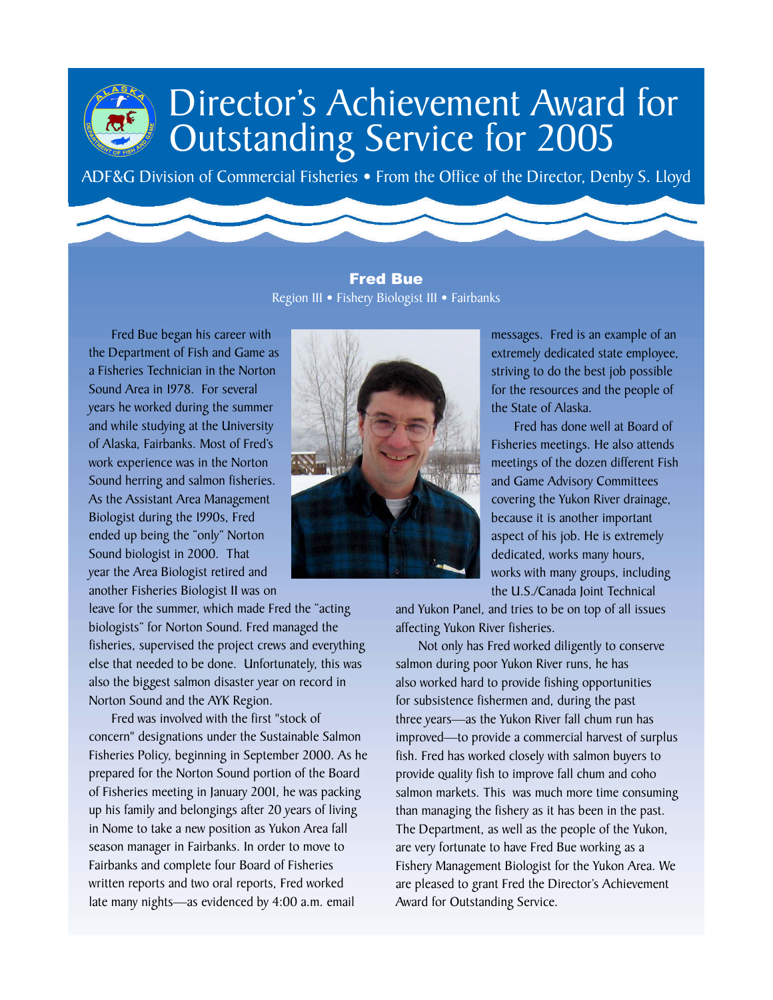ADF&G Division of Commercial Fisheries • From the Office of the Director, Denby S. Lloyd

Fred Bue Region III • Fishery Biologist III • Fairbanks

Fred Bue began his career with the Department of Fish and Game as a Fisheries Technician in the Norton Sound Area in 1978. For several years he worked during the summer and while studying at the University of Alaska, Fairbanks. Most of Fred's work experience was in the Norton Sound herring and salmon fisheries. As the Assistant Area Management Biologist during the 1990s, Fred ended up being the "only" Norton Sound biologist in 2000. That year the Area Biologist retired and another Fisheries Biologist II was on

leave for the summer, which made Fred the "acting biologists" for Norton Sound. Fred managed the fisheries, supervised the project crews and everything else that needed to be done. Unfortunately, this was also the biggest salmon disaster year on record in Norton Sound and the AYK Region.

Fred was involved with the first "stock of concern" designations under the Sustainable Salmon Fisheries Policy, beginning in September 2000. As he prepared for the Norton Sound portion of the Board of Fisheries meeting in January 2001, he was packing up his family and belongings after 20 years of living in Nome to take a new position as Yukon Area fall season manager in Fairbanks. In order to move to Fairbanks and complete four Board of Fisheries written reports and two oral reports, Fred worked late many nights—as evidenced by 4:00 a.m. email



messages. Fred is an example of an extremely dedicated state employee, striving to do the best job possible for the resources and the people of the State of Alaska.

Fred has done well at Board of Fisheries meetings. He also attends meetings of the dozen different Fish and Game Advisory Committees covering the Yukon River drainage, because it is another important aspect of his job. He is extremely dedicated, works many hours, works with many groups, including the U.S./Canada Joint Technical

and Yukon Panel, and tries to be on top of all issues affecting Yukon River fisheries.

Not only has Fred worked diligently to conserve salmon during poor Yukon River runs, he has also worked hard to provide fishing opportunities for subsistence fishermen and, during the past three years—as the Yukon River fall chum run has improved—to provide a commercial harvest of surplus fish. Fred has worked closely with salmon buyers to provide quality fish to improve fall chum and coho salmon markets. This was much more time consuming than managing the fishery as it has been in the past. The Department, as well as the people of the Yukon, are very fortunate to have Fred Bue working as a Fishery Management Biologist for the Yukon Area. We are pleased to grant Fred the Director's Achievement Award for Outstanding Service.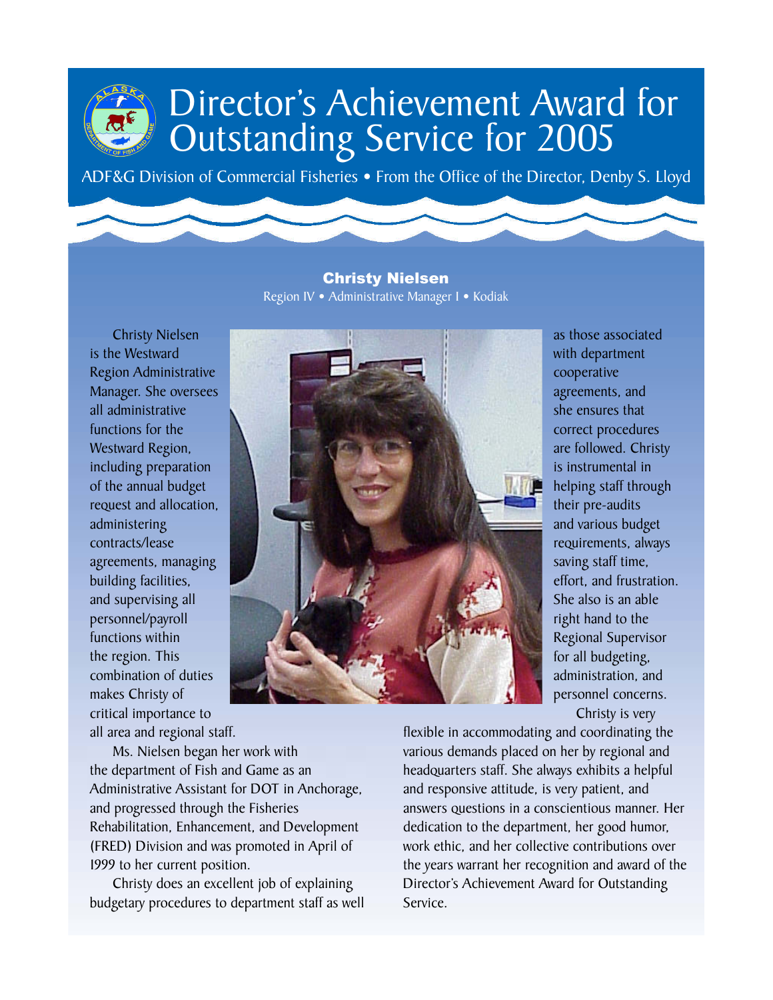ADF&G Division of Commercial Fisheries . From the Office of the Director, Denby S. Lloyd

Christy Nielsen Region IV • Administrative Manager I • Kodiak

Christy Nielsen is the Westward Region Administrative Manager. She oversees all administrative functions for the Westward Region, including preparation of the annual budget request and allocation, administering contracts/lease agreements, managing building facilities, and supervising all personnel/payroll functions within the region. This combination of duties makes Christy of critical importance to all area and regional staff.



with department cooperative agreements, and she ensures that correct procedures are followed. Christy is instrumental in helping staff through their pre-audits and various budget requirements, always saving staff time, effort, and frustration. She also is an able right hand to the Regional Supervisor for all budgeting, administration, and personnel concerns. Christy is very

as those associated

Ms. Nielsen began her work with the department of Fish and Game as an Administrative Assistant for DOT in Anchorage, and progressed through the Fisheries Rehabilitation, Enhancement, and Development (FRED) Division and was promoted in April of 1999 to her current position.

Christy does an excellent job of explaining budgetary procedures to department staff as well

flexible in accommodating and coordinating the various demands placed on her by regional and headquarters staff. She always exhibits a helpful and responsive attitude, is very patient, and answers questions in a conscientious manner. Her dedication to the department, her good humor, work ethic, and her collective contributions over the years warrant her recognition and award of the Director's Achievement Award for Outstanding Service.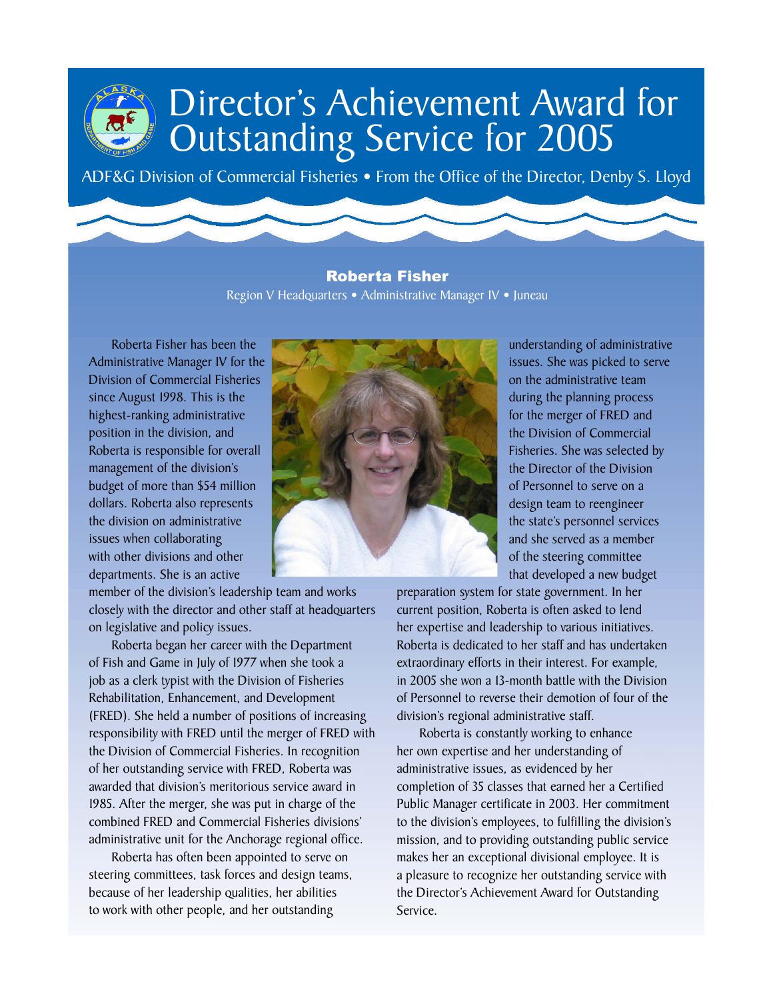ADF&G Division of Commercial Fisheries • From the Office of the Director, Denby S. Lloyd

#### Roberta Fisher Region V Headquarters • Administrative Manager IV • Juneau

Roberta Fisher has been the Administrative Manager IV for the Division of Commercial Fisheries since August 1998. This is the highest-ranking administrative position in the division, and Roberta is responsible for overall management of the division's budget of more than \$54 million dollars. Roberta also represents the division on administrative issues when collaborating with other divisions and other departments. She is an active

member of the division's leadership team and works closely with the director and other staff at headquarters on legislative and policy issues.

Roberta began her career with the Department of Fish and Game in July of 1977 when she took a job as a clerk typist with the Division of Fisheries Rehabilitation, Enhancement, and Development (FRED). She held a number of positions of increasing responsibility with FRED until the merger of FRED with the Division of Commercial Fisheries. In recognition of her outstanding service with FRED, Roberta was awarded that division's meritorious service award in 1985. After the merger, she was put in charge of the combined FRED and Commercial Fisheries divisions' administrative unit for the Anchorage regional office.

Roberta has often been appointed to serve on steering committees, task forces and design teams, because of her leadership qualities, her abilities to work with other people, and her outstanding



understanding of administrative issues. She was picked to serve on the administrative team during the planning process for the merger of FRED and the Division of Commercial Fisheries. She was selected by the Director of the Division of Personnel to serve on a design team to reengineer the state's personnel services and she served as a member of the steering committee that developed a new budget

preparation system for state government. In her current position, Roberta is often asked to lend her expertise and leadership to various initiatives. Roberta is dedicated to her staff and has undertaken extraordinary efforts in their interest. For example, in 2005 she won a 13-month battle with the Division of Personnel to reverse their demotion of four of the division's regional administrative staff.

Roberta is constantly working to enhance her own expertise and her understanding of administrative issues, as evidenced by her completion of 35 classes that earned her a Certified Public Manager certificate in 2003. Her commitment to the division's employees, to fulfilling the division's mission, and to providing outstanding public service makes her an exceptional divisional employee. It is a pleasure to recognize her outstanding service with the Director's Achievement Award for Outstanding Service.